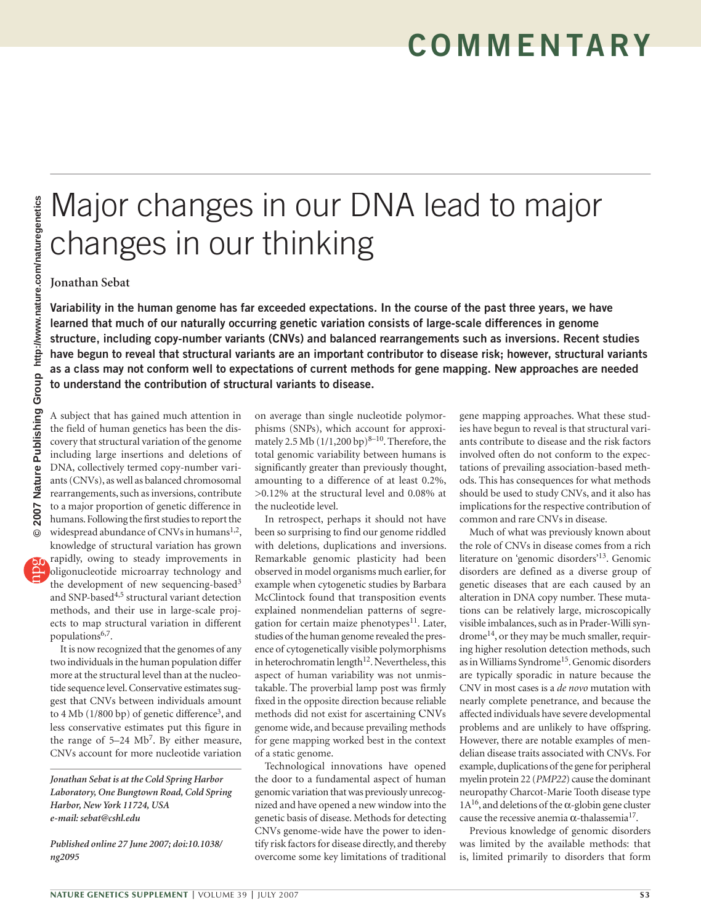## Major changes in our DNA lead to major changes in our thinking

**Jonathan Sebat**

**Variability in the human genome has far exceeded expectations. In the course of the past three years, we have learned that much of our naturally occurring genetic variation consists of large-scale differences in genome structure, including copy-number variants (CNVs) and balanced rearrangements such as inversions. Recent studies have begun to reveal that structural variants are an important contributor to disease risk; however, structural variants as a class may not conform well to expectations of current methods for gene mapping. New approaches are needed to understand the contribution of structural variants to disease.**

A subject that has gained much attention in the field of human genetics has been the discovery that structural variation of the genome including large insertions and deletions of DNA, collectively termed copy-number variants (CNVs), as well as balanced chromosomal rearrangements, such as inversions, contribute to a major proportion of genetic difference in humans. Following the first studies to report the widespread abundance of CNVs in humans<sup>1,2</sup>, knowledge of structural variation has grown

rapidly, owing to steady improvements in oligonucleotide microarray technology and the development of new sequencing-based<sup>3</sup> and SNP-based<sup>4,5</sup> structural variant detection methods, and their use in large-scale projects to map structural variation in different populations<sup>6,7</sup>.

It is now recognized that the genomes of any two individuals in the human population differ more at the structural level than at the nucleotide sequence level. Conservative estimates suggest that CNVs between individuals amount to 4 Mb  $(1/800 \text{ bp})$  of genetic difference<sup>3</sup>, and less conservative estimates put this figure in the range of 5–24 Mb<sup>7</sup>. By either measure, CNVs account for more nucleotide variation

*Jonathan Sebat is at the Cold Spring Harbor Laboratory, One Bungtown Road, Cold Spring Harbor, New York 11724, USA e-mail: sebat@cshl.edu*

*Published online 27 June 2007; doi:10.1038/ ng2095*

on average than single nucleotide polymorphisms (SNPs), which account for approximately 2.5 Mb  $(1/1,200 \text{ bp})^{8-10}$ . Therefore, the total genomic variability between humans is significantly greater than previously thought, amounting to a difference of at least 0.2%, >0.12% at the structural level and 0.08% at the nucleotide level.

In retrospect, perhaps it should not have been so surprising to find our genome riddled with deletions, duplications and inversions. Remarkable genomic plasticity had been observed in model organisms much earlier, for example when cytogenetic studies by Barbara McClintock found that transposition events explained nonmendelian patterns of segregation for certain maize phenotypes<sup>11</sup>. Later, studies of the human genome revealed the presence of cytogenetically visible polymorphisms in heterochromatin length $12$ . Nevertheless, this aspect of human variability was not unmistakable. The proverbial lamp post was firmly fixed in the opposite direction because reliable methods did not exist for ascertaining CNVs genome wide, and because prevailing methods for gene mapping worked best in the context of a static genome.

Technological innovations have opened the door to a fundamental aspect of human genomic variation that was previously unrecognized and have opened a new window into the genetic basis of disease. Methods for detecting CNVs genome-wide have the power to identify risk factors for disease directly, and thereby overcome some key limitations of traditional

gene mapping approaches. What these studies have begun to reveal is that structural variants contribute to disease and the risk factors involved often do not conform to the expectations of prevailing association-based methods. This has consequences for what methods should be used to study CNVs, and it also has implications for the respective contribution of common and rare CNVs in disease.

Much of what was previously known about the role of CNVs in disease comes from a rich literature on 'genomic disorders'13. Genomic disorders are defined as a diverse group of genetic diseases that are each caused by an alteration in DNA copy number. These mutations can be relatively large, microscopically visible imbalances, such as in Prader-Willi syndrome14, or they may be much smaller, requiring higher resolution detection methods, such as in Williams Syndrome15. Genomic disorders are typically sporadic in nature because the CNV in most cases is a *de novo* mutation with nearly complete penetrance, and because the affected individuals have severe developmental problems and are unlikely to have offspring. However, there are notable examples of mendelian disease traits associated with CNVs. For example, duplications of the gene for peripheral myelin protein 22 (*PMP22*) cause the dominant neuropathy Charcot-Marie Tooth disease type  $1A^{16}$ , and deletions of the  $\alpha$ -globin gene cluster cause the recessive anemia  $α$ -thalassemia<sup>17</sup>.

Previous knowledge of genomic disorders was limited by the available methods: that is, limited primarily to disorders that form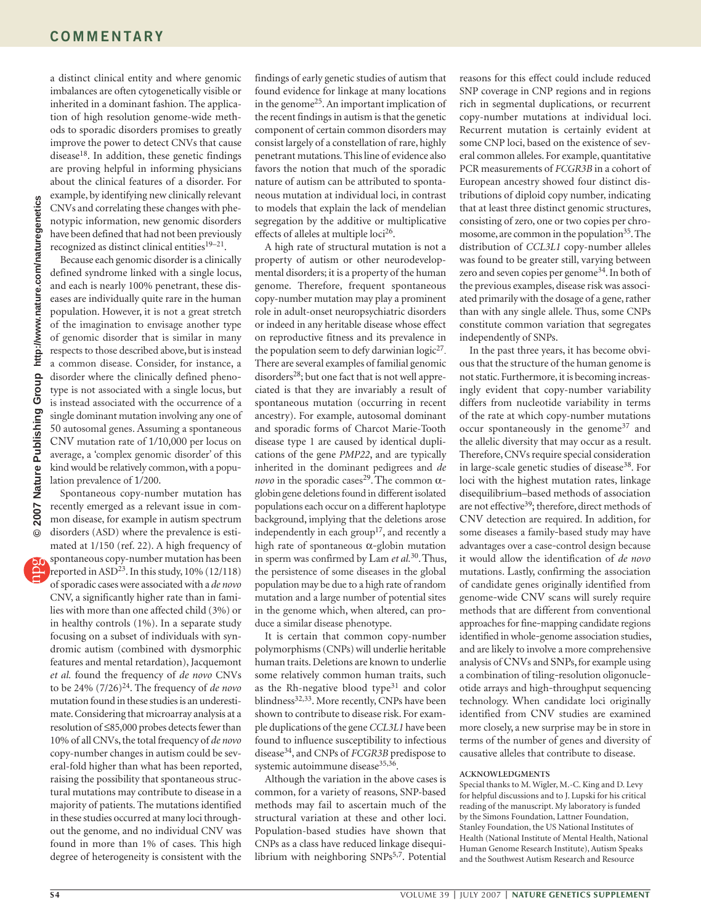a distinct clinical entity and where genomic imbalances are often cytogenetically visible or inherited in a dominant fashion. The application of high resolution genome-wide methods to sporadic disorders promises to greatly improve the power to detect CNVs that cause disease<sup>18</sup>. In addition, these genetic findings are proving helpful in informing physicians about the clinical features of a disorder. For example, by identifying new clinically relevant CNVs and correlating these changes with phenotypic information, new genomic disorders have been defined that had not been previously recognized as distinct clinical entities $19-21$ .

Because each genomic disorder is a clinically defined syndrome linked with a single locus, and each is nearly 100% penetrant, these diseases are individually quite rare in the human population. However, it is not a great stretch of the imagination to envisage another type of genomic disorder that is similar in many respects to those described above, but is instead a common disease. Consider, for instance, a disorder where the clinically defined phenotype is not associated with a single locus, but is instead associated with the occurrence of a single dominant mutation involving any one of 50 autosomal genes. Assuming a spontaneous CNV mutation rate of 1/10,000 per locus on average, a 'complex genomic disorder' of this kind would be relatively common, with a population prevalence of 1/200.

Spontaneous copy-number mutation has recently emerged as a relevant issue in common disease, for example in autism spectrum disorders (ASD) where the prevalence is estimated at 1/150 (ref. 22). A high frequency of spontaneous copy-number mutation has been reported in ASD<sup>23</sup>. In this study,  $10\%$  (12/118) of sporadic cases were associated with a *de novo* CNV, a significantly higher rate than in families with more than one affected child (3%) or in healthy controls (1%). In a separate study focusing on a subset of individuals with syndromic autism (combined with dysmorphic features and mental retardation), Jacquemont *et al.* found the frequency of *de novo* CNVs to be 24% (7/26)24. The frequency of *de novo* mutation found in these studies is an underestimate. Considering that microarray analysis at a resolution of ≤85,000 probes detects fewer than 10% of all CNVs, the total frequency of *de novo* copy-number changes in autism could be several-fold higher than what has been reported, raising the possibility that spontaneous structural mutations may contribute to disease in a majority of patients. The mutations identified in these studies occurred at many loci throughout the genome, and no individual CNV was found in more than 1% of cases. This high degree of heterogeneity is consistent with the

findings of early genetic studies of autism that found evidence for linkage at many locations in the genome25. An important implication of the recent findings in autism is that the genetic component of certain common disorders may consist largely of a constellation of rare, highly penetrant mutations. This line of evidence also favors the notion that much of the sporadic nature of autism can be attributed to spontaneous mutation at individual loci, in contrast to models that explain the lack of mendelian segregation by the additive or multiplicative effects of alleles at multiple  $loci^{26}$ .

A high rate of structural mutation is not a property of autism or other neurodevelopmental disorders; it is a property of the human genome. Therefore, frequent spontaneous copy-number mutation may play a prominent role in adult-onset neuropsychiatric disorders or indeed in any heritable disease whose effect on reproductive fitness and its prevalence in the population seem to defy darwinian  $logic^{27}$ . There are several examples of familial genomic disorders<sup>28</sup>; but one fact that is not well appreciated is that they are invariably a result of spontaneous mutation (occurring in recent ancestry). For example, autosomal dominant and sporadic forms of Charcot Marie-Tooth disease type 1 are caused by identical duplications of the gene *PMP22*, and are typically inherited in the dominant pedigrees and *de novo* in the sporadic cases<sup>29</sup>. The common αglobingene deletions found in different isolated populations each occur on a different haplotype background, implying that the deletions arose independently in each group<sup>17</sup>, and recently a high rate of spontaneous α-globin mutation in sperm was confirmed by Lam *et al.*30. Thus, the persistence of some diseases in the global population may be due to a high rate of random mutation and a large number of potential sites in the genome which, when altered, can produce a similar disease phenotype.

It is certain that common copy-number polymorphisms (CNPs) will underlie heritable human traits. Deletions are known to underlie some relatively common human traits, such as the Rh-negative blood type $31$  and color blindness<sup>32,33</sup>. More recently, CNPs have been shown to contribute to disease risk. For example duplications of the gene *CCL3L1* have been found to influence susceptibility to infectious disease34, and CNPs of *FCGR3B* predispose to systemic autoimmune disease<sup>35,36</sup>.

Although the variation in the above cases is common, for a variety of reasons, SNP-based methods may fail to ascertain much of the structural variation at these and other loci. Population-based studies have shown that CNPs as a class have reduced linkage disequilibrium with neighboring SNPs<sup>5,7</sup>. Potential

reasons for this effect could include reduced SNP coverage in CNP regions and in regions rich in segmental duplications, or recurrent copy-number mutations at individual loci. Recurrent mutation is certainly evident at some CNP loci, based on the existence of several common alleles. For example, quantitative PCR measurements of *FCGR3B* in a cohort of European ancestry showed four distinct distributions of diploid copy number, indicating that at least three distinct genomic structures, consisting of zero, one or two copies per chromosome, are common in the population<sup>35</sup>. The distribution of *CCL3L1* copy-number alleles was found to be greater still, varying between zero and seven copies per genome34. In both of the previous examples, disease risk was associated primarily with the dosage of a gene, rather than with any single allele. Thus, some CNPs constitute common variation that segregates independently of SNPs.

In the past three years, it has become obvious that the structure of the human genome is not static. Furthermore, it is becoming increasingly evident that copy-number variability differs from nucleotide variability in terms of the rate at which copy-number mutations occur spontaneously in the genome<sup>37</sup> and the allelic diversity that may occur as a result. Therefore, CNVs require special consideration in large-scale genetic studies of disease<sup>38</sup>. For loci with the highest mutation rates, linkage disequilibrium–based methods of association are not effective<sup>39</sup>; therefore, direct methods of CNV detection are required. In addition, for some diseases a family-based study may have advantages over a case-control design because it would allow the identification of *de novo* mutations. Lastly, confirming the association of candidate genes originally identified from genome-wide CNV scans will surely require methods that are different from conventional approaches for fine-mapping candidate regions identified in whole-genome association studies, and are likely to involve a more comprehensive analysis of CNVs and SNPs, for example using a combination of tiling-resolution oligonucleotide arrays and high-throughput sequencing technology. When candidate loci originally identified from CNV studies are examined more closely, a new surprise may be in store in terms of the number of genes and diversity of causative alleles that contribute to disease.

## **ACKNOWLEDGMENTS**

Special thanks to M. Wigler, M.-C. King and D. Levy for helpful discussions and to J. Lupski for his critical reading of the manuscript. My laboratory is funded by the Simons Foundation, Lattner Foundation, Stanley Foundation, the US National Institutes of Health (National Institute of Mental Health, National Human Genome Research Institute), Autism Speaks and the Southwest Autism Research and Resource